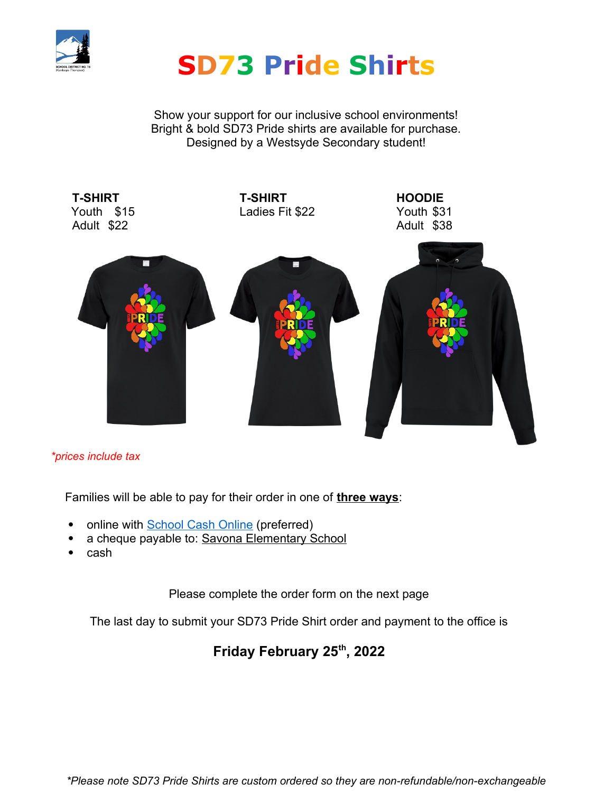

# **SD73 Pride Shirts**

Show your support for our inclusive school environments! Bright & bold SD73 Pride shirts are available for purchase. Designed by a Westsyde Secondary student!



## *\*prices include tax*

Families will be able to pay for their order in one of **three ways**:

- online with **School Cash Online** (preferred)
- a cheque payable to: Savona Elementary School
- cash

Please complete the order form on the next page

The last day to submit your SD73 Pride Shirt order and payment to the office is

# **Friday February 25th, 2022**